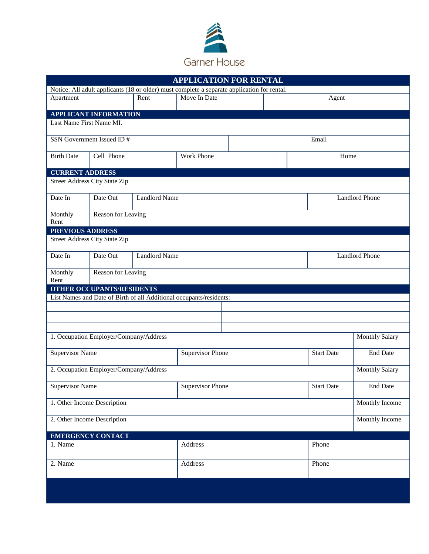

| <b>APPLICATION FOR RENTAL</b>                                                               |                                  |         |                         |       |                       |                       |                       |  |
|---------------------------------------------------------------------------------------------|----------------------------------|---------|-------------------------|-------|-----------------------|-----------------------|-----------------------|--|
| Notice: All adult applicants (18 or older) must complete a separate application for rental. |                                  |         |                         |       |                       |                       |                       |  |
| Apartment                                                                                   |                                  | Rent    | Move In Date            |       |                       | Agent                 |                       |  |
|                                                                                             | <b>APPLICANT INFORMATION</b>     |         |                         |       |                       |                       |                       |  |
| Last Name First Name MI.                                                                    |                                  |         |                         |       |                       |                       |                       |  |
| SSN Government Issued ID#                                                                   |                                  |         |                         |       |                       | Email                 |                       |  |
| <b>Birth Date</b>                                                                           | Cell Phone                       |         | <b>Work Phone</b>       |       |                       | Home                  |                       |  |
| <b>CURRENT ADDRESS</b>                                                                      |                                  |         |                         |       |                       |                       |                       |  |
| <b>Street Address City State Zip</b>                                                        |                                  |         |                         |       |                       |                       |                       |  |
| Date In                                                                                     | <b>Landlord Name</b><br>Date Out |         |                         |       | <b>Landlord Phone</b> |                       |                       |  |
| Monthly<br>Rent                                                                             | Reason for Leaving               |         |                         |       |                       |                       |                       |  |
| PREVIOUS ADDRESS                                                                            |                                  |         |                         |       |                       |                       |                       |  |
| <b>Street Address City State Zip</b>                                                        |                                  |         |                         |       |                       |                       |                       |  |
| Date In                                                                                     | Date Out<br><b>Landlord Name</b> |         |                         |       |                       | <b>Landlord Phone</b> |                       |  |
| Monthly<br>Rent                                                                             | Reason for Leaving               |         |                         |       |                       |                       |                       |  |
| OTHER OCCUPANTS/RESIDENTS                                                                   |                                  |         |                         |       |                       |                       |                       |  |
| List Names and Date of Birth of all Additional occupants/residents:                         |                                  |         |                         |       |                       |                       |                       |  |
|                                                                                             |                                  |         |                         |       |                       |                       |                       |  |
|                                                                                             |                                  |         |                         |       |                       |                       |                       |  |
|                                                                                             |                                  |         |                         |       |                       |                       |                       |  |
| 1. Occupation Employer/Company/Address                                                      |                                  |         |                         |       |                       |                       | <b>Monthly Salary</b> |  |
| <b>Supervisor Name</b>                                                                      |                                  |         | <b>Supervisor Phone</b> |       | <b>Start Date</b>     | <b>End Date</b>       |                       |  |
| 2. Occupation Employer/Company/Address<br><b>Monthly Salary</b>                             |                                  |         |                         |       |                       |                       |                       |  |
| <b>Supervisor Name</b>                                                                      |                                  |         | <b>Supervisor Phone</b> |       |                       | <b>Start Date</b>     | <b>End Date</b>       |  |
|                                                                                             | 1. Other Income Description      |         |                         |       |                       |                       | Monthly Income        |  |
| 2. Other Income Description                                                                 |                                  |         |                         |       |                       |                       | Monthly Income        |  |
|                                                                                             | <b>EMERGENCY CONTACT</b>         |         |                         |       |                       |                       |                       |  |
| 1. Name                                                                                     |                                  |         | Address                 |       | Phone                 |                       |                       |  |
| 2. Name                                                                                     |                                  | Address |                         | Phone |                       |                       |                       |  |
|                                                                                             |                                  |         |                         |       |                       |                       |                       |  |
|                                                                                             |                                  |         |                         |       |                       |                       |                       |  |